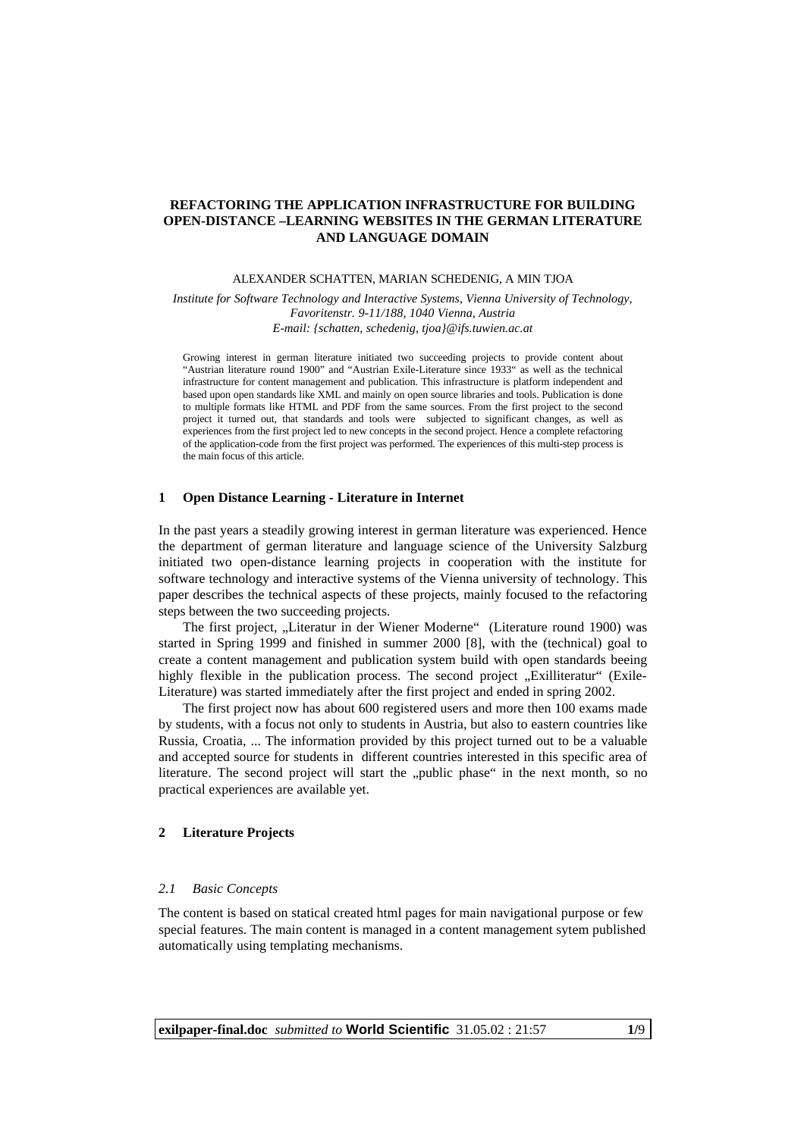# **REFACTORING THE APPLICATION INFRASTRUCTURE FOR BUILDING OPEN-DISTANCE –LEARNING WEBSITES IN THE GERMAN LITERATURE AND LANGUAGE DOMAIN**

#### ALEXANDER SCHATTEN, MARIAN SCHEDENIG, A MIN TJOA

*Institute for Software Technology and Interactive Systems, Vienna University of Technology, Favoritenstr. 9-11/188, 1040 Vienna, Austria E-mail: {schatten, schedenig, tjoa}@ifs.tuwien.ac.at*

Growing interest in german literature initiated two succeeding projects to provide content about "Austrian literature round 1900" and "Austrian Exile-Literature since 1933" as well as the technical infrastructure for content management and publication. This infrastructure is platform independent and based upon open standards like XML and mainly on open source libraries and tools. Publication is done to multiple formats like HTML and PDF from the same sources. From the first project to the second project it turned out, that standards and tools were subjected to significant changes, as well as experiences from the first project led to new concepts in the second project. Hence a complete refactoring of the application-code from the first project was performed. The experiences of this multi-step process is the main focus of this article.

#### **1 Open Distance Learning - Literature in Internet**

In the past years a steadily growing interest in german literature was experienced. Hence the department of german literature and language science of the University Salzburg initiated two open-distance learning projects in cooperation with the institute for software technology and interactive systems of the Vienna university of technology. This paper describes the technical aspects of these projects, mainly focused to the refactoring steps between the two succeeding projects.

The first project, "Literatur in der Wiener Moderne" (Literature round 1900) was started in Spring 1999 and finished in summer 2000 [8], with the (technical) goal to create a content management and publication system build with open standards beeing highly flexible in the publication process. The second project "Exilliteratur" (Exile-Literature) was started immediately after the first project and ended in spring 2002.

The first project now has about 600 registered users and more then 100 exams made by students, with a focus not only to students in Austria, but also to eastern countries like Russia, Croatia, ... The information provided by this project turned out to be a valuable and accepted source for students in different countries interested in this specific area of literature. The second project will start the "public phase" in the next month, so no practical experiences are available yet.

# **2 Literature Projects**

#### *2.1 Basic Concepts*

The content is based on statical created html pages for main navigational purpose or few special features. The main content is managed in a content management sytem published automatically using templating mechanisms.

**exilpaper-final.doc** *submitted to* **World Scientific** 31.05.02 : 21:57 **1/**9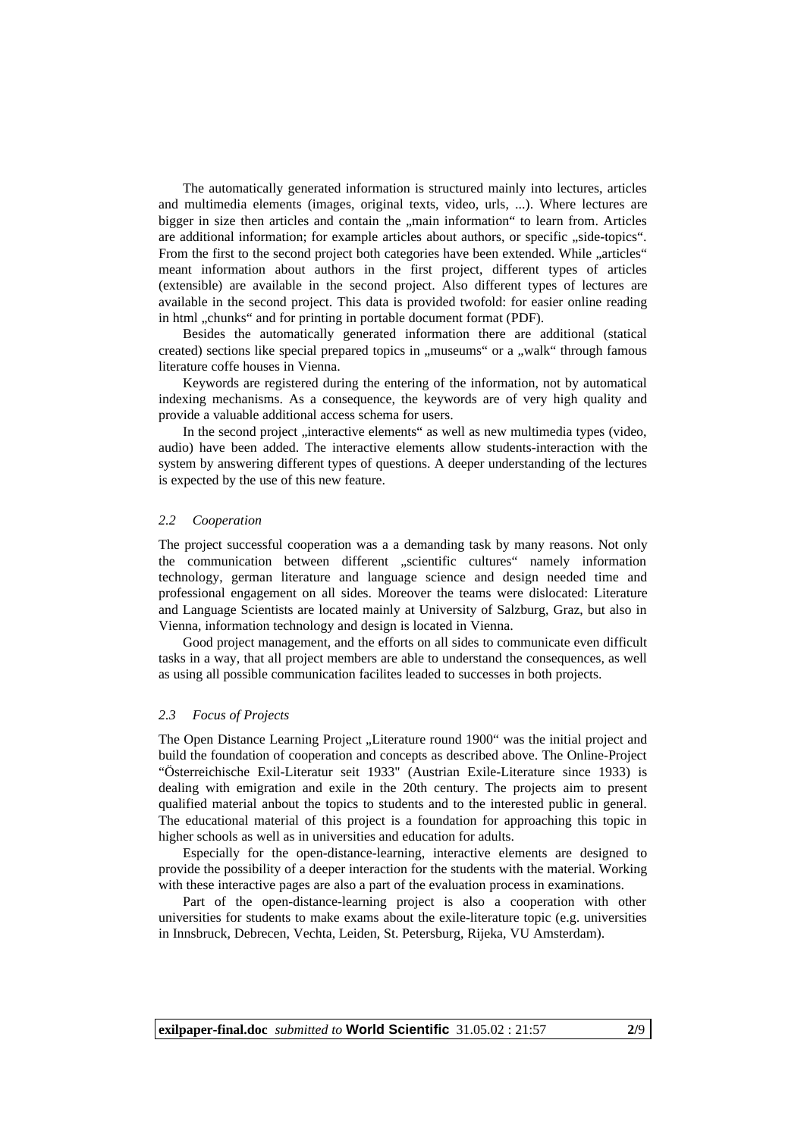The automatically generated information is structured mainly into lectures, articles and multimedia elements (images, original texts, video, urls, ...). Where lectures are bigger in size then articles and contain the "main information" to learn from. Articles are additional information; for example articles about authors, or specific "side-topics". From the first to the second project both categories have been extended. While "articles" meant information about authors in the first project, different types of articles (extensible) are available in the second project. Also different types of lectures are available in the second project. This data is provided twofold: for easier online reading in html "chunks" and for printing in portable document format (PDF).

Besides the automatically generated information there are additional (statical created) sections like special prepared topics in "museums" or a "walk" through famous literature coffe houses in Vienna.

Keywords are registered during the entering of the information, not by automatical indexing mechanisms. As a consequence, the keywords are of very high quality and provide a valuable additional access schema for users.

In the second project "interactive elements" as well as new multimedia types (video, audio) have been added. The interactive elements allow students-interaction with the system by answering different types of questions. A deeper understanding of the lectures is expected by the use of this new feature.

#### *2.2 Cooperation*

The project successful cooperation was a a demanding task by many reasons. Not only the communication between different "scientific cultures" namely information technology, german literature and language science and design needed time and professional engagement on all sides. Moreover the teams were dislocated: Literature and Language Scientists are located mainly at University of Salzburg, Graz, but also in Vienna, information technology and design is located in Vienna.

Good project management, and the efforts on all sides to communicate even difficult tasks in a way, that all project members are able to understand the consequences, as well as using all possible communication facilites leaded to successes in both projects.

#### *2.3 Focus of Projects*

The Open Distance Learning Project, Literature round 1900" was the initial project and build the foundation of cooperation and concepts as described above. The Online-Project "Österreichische Exil-Literatur seit 1933" (Austrian Exile-Literature since 1933) is dealing with emigration and exile in the 20th century. The projects aim to present qualified material anbout the topics to students and to the interested public in general. The educational material of this project is a foundation for approaching this topic in higher schools as well as in universities and education for adults.

Especially for the open-distance-learning, interactive elements are designed to provide the possibility of a deeper interaction for the students with the material. Working with these interactive pages are also a part of the evaluation process in examinations.

Part of the open-distance-learning project is also a cooperation with other universities for students to make exams about the exile-literature topic (e.g. universities in Innsbruck, Debrecen, Vechta, Leiden, St. Petersburg, Rijeka, VU Amsterdam).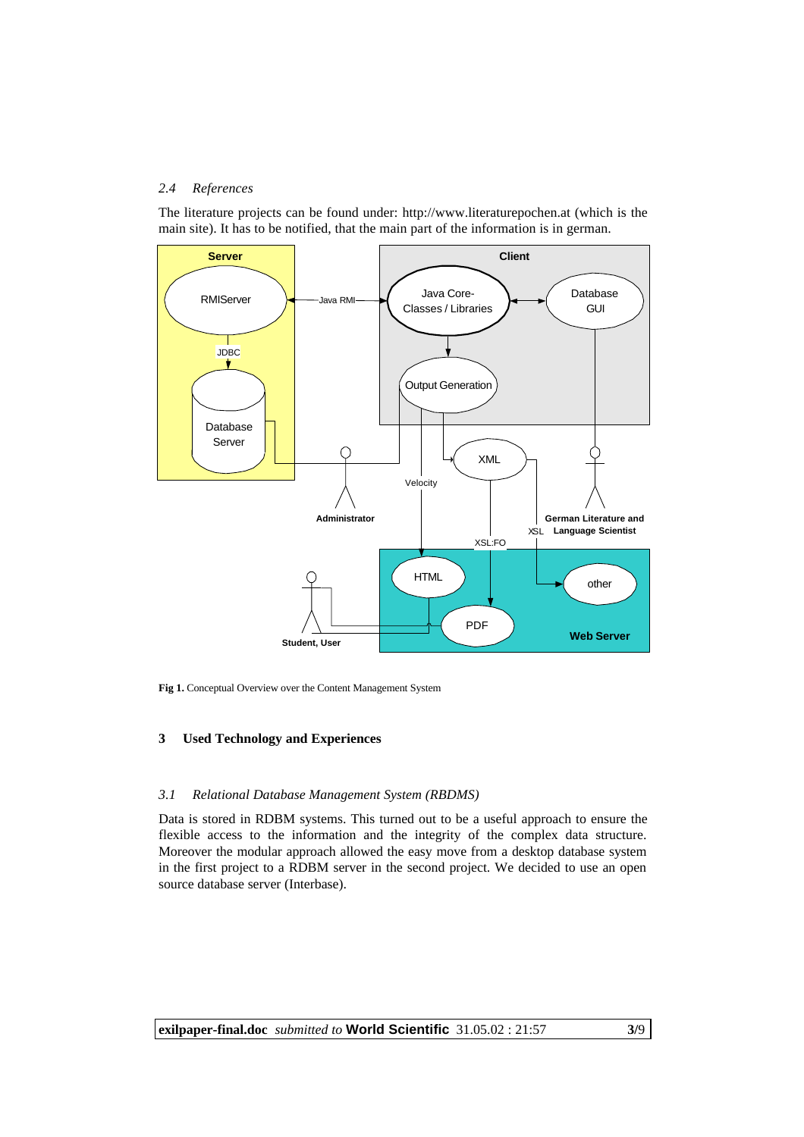# *2.4 References*

The literature projects can be found under: http://www.literaturepochen.at (which is the main site). It has to be notified, that the main part of the information is in german.



**Fig 1.** Conceptual Overview over the Content Management System

# **3 Used Technology and Experiences**

# *3.1 Relational Database Management System (RBDMS)*

Data is stored in RDBM systems. This turned out to be a useful approach to ensure the flexible access to the information and the integrity of the complex data structure. Moreover the modular approach allowed the easy move from a desktop database system in the first project to a RDBM server in the second project. We decided to use an open source database server (Interbase).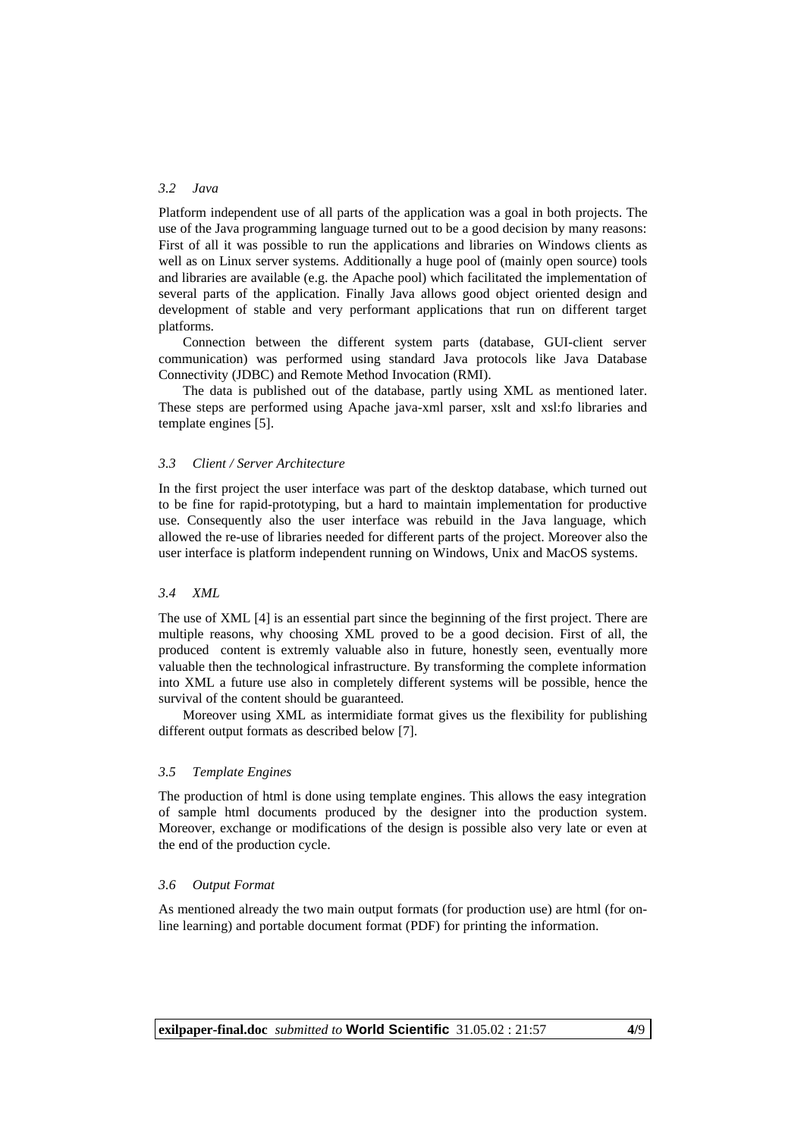# *3.2 Java*

Platform independent use of all parts of the application was a goal in both projects. The use of the Java programming language turned out to be a good decision by many reasons: First of all it was possible to run the applications and libraries on Windows clients as well as on Linux server systems. Additionally a huge pool of (mainly open source) tools and libraries are available (e.g. the Apache pool) which facilitated the implementation of several parts of the application. Finally Java allows good object oriented design and development of stable and very performant applications that run on different target platforms.

Connection between the different system parts (database, GUI-client server communication) was performed using standard Java protocols like Java Database Connectivity (JDBC) and Remote Method Invocation (RMI).

The data is published out of the database, partly using XML as mentioned later. These steps are performed using Apache java-xml parser, xslt and xsl:fo libraries and template engines [5].

## *3.3 Client / Server Architecture*

In the first project the user interface was part of the desktop database, which turned out to be fine for rapid-prototyping, but a hard to maintain implementation for productive use. Consequently also the user interface was rebuild in the Java language, which allowed the re-use of libraries needed for different parts of the project. Moreover also the user interface is platform independent running on Windows, Unix and MacOS systems.

#### *3.4 XML*

The use of XML [4] is an essential part since the beginning of the first project. There are multiple reasons, why choosing XML proved to be a good decision. First of all, the produced content is extremly valuable also in future, honestly seen, eventually more valuable then the technological infrastructure. By transforming the complete information into XML a future use also in completely different systems will be possible, hence the survival of the content should be guaranteed.

Moreover using XML as intermidiate format gives us the flexibility for publishing different output formats as described below [7].

#### *3.5 Template Engines*

The production of html is done using template engines. This allows the easy integration of sample html documents produced by the designer into the production system. Moreover, exchange or modifications of the design is possible also very late or even at the end of the production cycle.

#### *3.6 Output Format*

As mentioned already the two main output formats (for production use) are html (for online learning) and portable document format (PDF) for printing the information.

**exilpaper-final.doc** *submitted to* **World Scientific** 31.05.02 : 21:57 **4/**9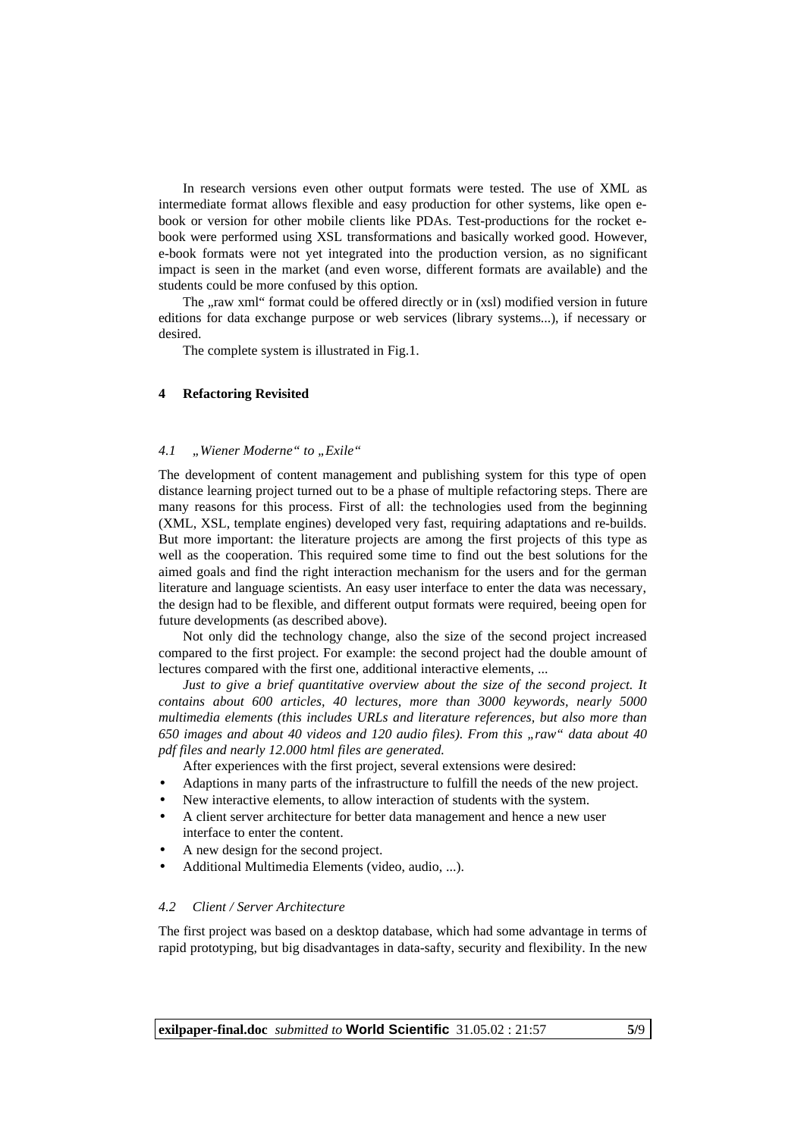In research versions even other output formats were tested. The use of XML as intermediate format allows flexible and easy production for other systems, like open ebook or version for other mobile clients like PDAs. Test-productions for the rocket ebook were performed using XSL transformations and basically worked good. However, e-book formats were not yet integrated into the production version, as no significant impact is seen in the market (and even worse, different formats are available) and the students could be more confused by this option.

The "raw xml" format could be offered directly or in (xsl) modified version in future editions for data exchange purpose or web services (library systems...), if necessary or desired.

The complete system is illustrated in Fig.1.

# **4 Refactoring Revisited**

# 4.1 "Wiener Moderne" to "Exile"

The development of content management and publishing system for this type of open distance learning project turned out to be a phase of multiple refactoring steps. There are many reasons for this process. First of all: the technologies used from the beginning (XML, XSL, template engines) developed very fast, requiring adaptations and re-builds. But more important: the literature projects are among the first projects of this type as well as the cooperation. This required some time to find out the best solutions for the aimed goals and find the right interaction mechanism for the users and for the german literature and language scientists. An easy user interface to enter the data was necessary, the design had to be flexible, and different output formats were required, beeing open for future developments (as described above).

Not only did the technology change, also the size of the second project increased compared to the first project. For example: the second project had the double amount of lectures compared with the first one, additional interactive elements, ...

*Just to give a brief quantitative overview about the size of the second project. It contains about 600 articles, 40 lectures, more than 3000 keywords, nearly 5000 multimedia elements (this includes URLs and literature references, but also more than 650 images and about 40 videos and 120 audio files). From this "raw" data about 40 pdf files and nearly 12.000 html files are generated.*

After experiences with the first project, several extensions were desired:

- Adaptions in many parts of the infrastructure to fulfill the needs of the new project.
- New interactive elements, to allow interaction of students with the system.
- A client server architecture for better data management and hence a new user interface to enter the content.
- A new design for the second project.
- Additional Multimedia Elements (video, audio, ...).

#### *4.2 Client / Server Architecture*

The first project was based on a desktop database, which had some advantage in terms of rapid prototyping, but big disadvantages in data-safty, security and flexibility. In the new

**exilpaper-final.doc** *submitted to* **World Scientific** 31.05.02 : 21:57 **5/**9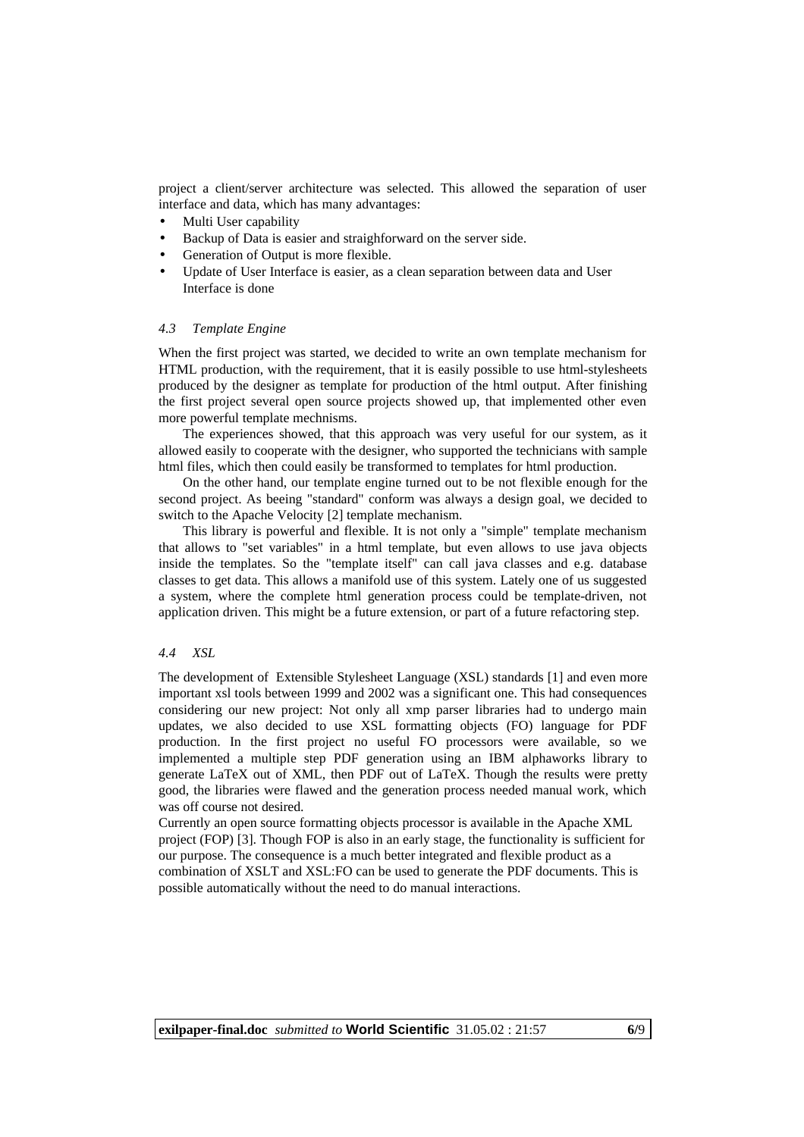project a client/server architecture was selected. This allowed the separation of user interface and data, which has many advantages:

- Multi User capability
- Backup of Data is easier and straighforward on the server side.
- Generation of Output is more flexible.
- Update of User Interface is easier, as a clean separation between data and User Interface is done

#### *4.3 Template Engine*

When the first project was started, we decided to write an own template mechanism for HTML production, with the requirement, that it is easily possible to use html-stylesheets produced by the designer as template for production of the html output. After finishing the first project several open source projects showed up, that implemented other even more powerful template mechnisms.

The experiences showed, that this approach was very useful for our system, as it allowed easily to cooperate with the designer, who supported the technicians with sample html files, which then could easily be transformed to templates for html production.

On the other hand, our template engine turned out to be not flexible enough for the second project. As beeing "standard" conform was always a design goal, we decided to switch to the Apache Velocity [2] template mechanism.

This library is powerful and flexible. It is not only a "simple" template mechanism that allows to "set variables" in a html template, but even allows to use java objects inside the templates. So the "template itself" can call java classes and e.g. database classes to get data. This allows a manifold use of this system. Lately one of us suggested a system, where the complete html generation process could be template-driven, not application driven. This might be a future extension, or part of a future refactoring step.

## *4.4 XSL*

The development of Extensible Stylesheet Language (XSL) standards [1] and even more important xsl tools between 1999 and 2002 was a significant one. This had consequences considering our new project: Not only all xmp parser libraries had to undergo main updates, we also decided to use XSL formatting objects (FO) language for PDF production. In the first project no useful FO processors were available, so we implemented a multiple step PDF generation using an IBM alphaworks library to generate LaTeX out of XML, then PDF out of LaTeX. Though the results were pretty good, the libraries were flawed and the generation process needed manual work, which was off course not desired.

Currently an open source formatting objects processor is available in the Apache XML project (FOP) [3]. Though FOP is also in an early stage, the functionality is sufficient for our purpose. The consequence is a much better integrated and flexible product as a combination of XSLT and XSL:FO can be used to generate the PDF documents. This is possible automatically without the need to do manual interactions.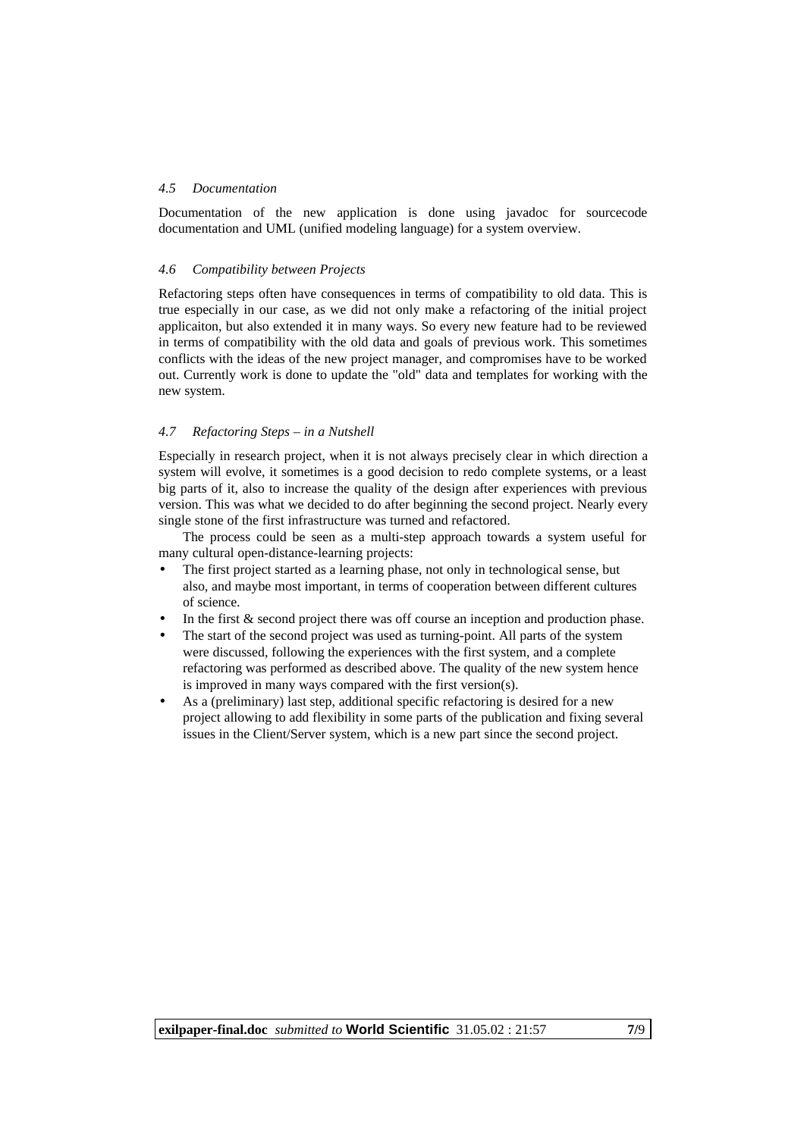# *4.5 Documentation*

Documentation of the new application is done using javadoc for sourcecode documentation and UML (unified modeling language) for a system overview.

# *4.6 Compatibility between Projects*

Refactoring steps often have consequences in terms of compatibility to old data. This is true especially in our case, as we did not only make a refactoring of the initial project applicaiton, but also extended it in many ways. So every new feature had to be reviewed in terms of compatibility with the old data and goals of previous work. This sometimes conflicts with the ideas of the new project manager, and compromises have to be worked out. Currently work is done to update the "old" data and templates for working with the new system.

# *4.7 Refactoring Steps – in a Nutshell*

Especially in research project, when it is not always precisely clear in which direction a system will evolve, it sometimes is a good decision to redo complete systems, or a least big parts of it, also to increase the quality of the design after experiences with previous version. This was what we decided to do after beginning the second project. Nearly every single stone of the first infrastructure was turned and refactored.

The process could be seen as a multi-step approach towards a system useful for many cultural open-distance-learning projects:

- The first project started as a learning phase, not only in technological sense, but also, and maybe most important, in terms of cooperation between different cultures of science.
- In the first  $\&$  second project there was off course an inception and production phase.
- The start of the second project was used as turning-point. All parts of the system were discussed, following the experiences with the first system, and a complete refactoring was performed as described above. The quality of the new system hence is improved in many ways compared with the first version(s).
- As a (preliminary) last step, additional specific refactoring is desired for a new project allowing to add flexibility in some parts of the publication and fixing several issues in the Client/Server system, which is a new part since the second project.

**exilpaper-final.doc** *submitted to* **World Scientific** 31.05.02 : 21:57 **7/**9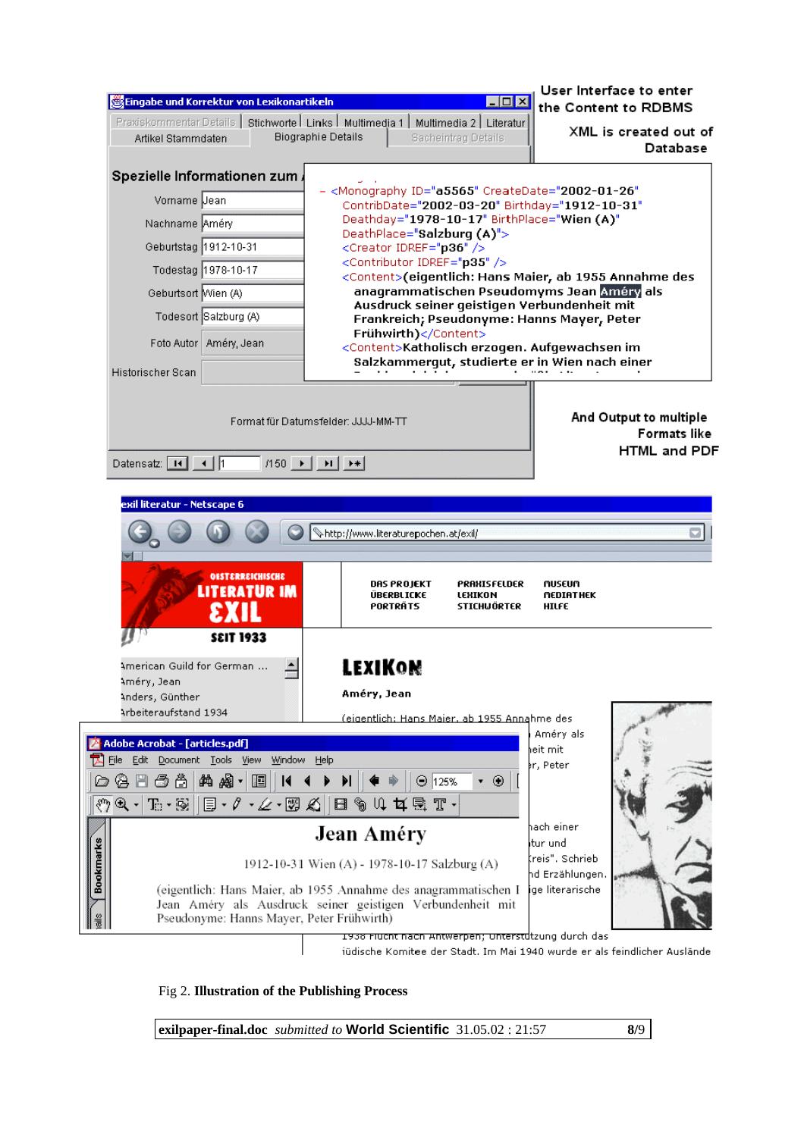|                                                                                                               |                                                                          | Eingabe und Korrektur von Lexikonartikeln |                                      |                                               | $\blacksquare$ $\blacksquare$ $\times$                                                                                                                                                                                                                                                                                                                                                                                                                                                                        |                                    | User Interface to enter<br>the Content to RDBMS                 |
|---------------------------------------------------------------------------------------------------------------|--------------------------------------------------------------------------|-------------------------------------------|--------------------------------------|-----------------------------------------------|---------------------------------------------------------------------------------------------------------------------------------------------------------------------------------------------------------------------------------------------------------------------------------------------------------------------------------------------------------------------------------------------------------------------------------------------------------------------------------------------------------------|------------------------------------|-----------------------------------------------------------------|
| Praxiskommentar Details   Stichworte   Links   Multimedia 1  <br>Artikel Stammdaten                           |                                                                          |                                           | <b>Biographie Details</b>            |                                               | Multimedia 2   Literatur<br><b>Sacheintrag Details</b>                                                                                                                                                                                                                                                                                                                                                                                                                                                        |                                    | XML is created out of<br>Database                               |
| Spezielle Informationen zum<br>Vorname Uean<br>Nachname Améry<br>Geburtstag 1912-10-31<br>Geburtsort Wien (A) | Todestag 1978-10-17<br>Todesort Salzburg (A)<br>Foto Autor   Améry, Jean |                                           |                                      | <creator idref="p36"></creator><br>Frühwirth) | - <monography <br="" createdate="2002-01-26" id="a5565">ContribDate="2002-03-20" Birthday="1912-10-31"<br/>Deathday="1978-10-17" BirthPlace="Wien (A)"<br/>DeathPlace="Salzburg (A)"&gt;<br/><contributor idref="p35"></contributor><br/>anagrammatischen Pseudomyms Jean Améry als<br/>Ausdruck seiner geistigen Verbundenheit mit<br/>Frankreich; Pseudonyme: Hanns Mayer, Peter<br/><content>Katholisch erzogen. Aufgewachsen im<br/>Salzkammergut, studierte er in Wien nach einer</content></monography> |                                    | <content>(eigentlich: Hans Maier, ab 1955 Annahme des</content> |
| Historischer Scan                                                                                             |                                                                          |                                           | Format für Datumsfelder: JJJJ-MM-TT  |                                               |                                                                                                                                                                                                                                                                                                                                                                                                                                                                                                               |                                    | And Output to multiple<br>Formats like                          |
|                                                                                                               |                                                                          |                                           |                                      |                                               |                                                                                                                                                                                                                                                                                                                                                                                                                                                                                                               |                                    |                                                                 |
|                                                                                                               |                                                                          | <b>OESTERREICHISCHE</b>                   | http://www.literaturepochen.at/exil/ | DAS PROJEKT                                   | <b>PRAXISFELDER</b>                                                                                                                                                                                                                                                                                                                                                                                                                                                                                           | MUSEUM                             |                                                                 |
| American Guild for German<br>Améry, Jean                                                                      | LITERATUR IM<br><b>SEIT 1933</b>                                         |                                           | LEXIKON                              | ÜBERBL ICKE<br>PORTRÄTS                       | LEHIKON<br>STICHUÖRTER                                                                                                                                                                                                                                                                                                                                                                                                                                                                                        | MEDIATHEK<br>HILFE                 |                                                                 |
| Anders, Günther<br>Arbeiteraufstand 1934<br>Adobe Acrobat - [articles.pdf]<br>Edit<br>File<br>64<br>13        | Document Tools View<br>  ぬ ぷ ・                                           | Window<br>崓<br>14                         | Améry, Jean<br>Help                  | ⊜  125%                                       | <u>(eigentlich: Hans Maier, ab 1955 Annahme des</u><br>▾◉                                                                                                                                                                                                                                                                                                                                                                                                                                                     | Améry als<br>ieit mit<br>∤r, Peter |                                                                 |

# Fig 2. **Illustration of the Publishing Process**

**exilpaper-final.doc** *submitted to* **World Scientific** 31.05.02 : 21:57 **8/**9